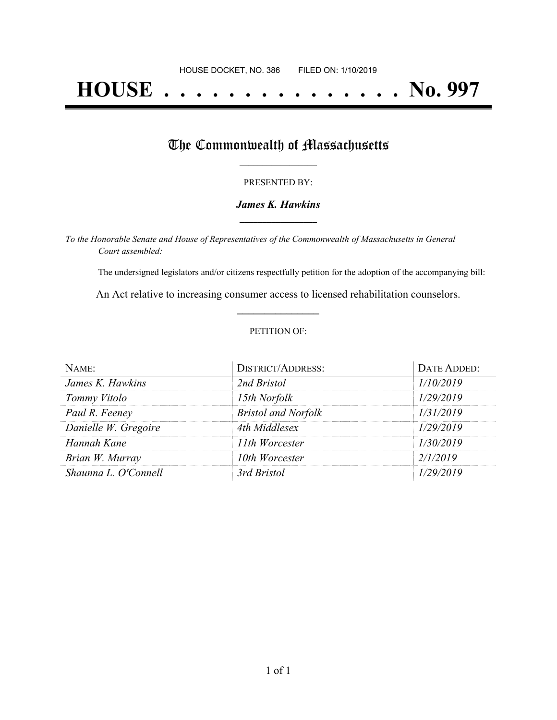# **HOUSE . . . . . . . . . . . . . . . No. 997**

## The Commonwealth of Massachusetts

#### PRESENTED BY:

#### *James K. Hawkins* **\_\_\_\_\_\_\_\_\_\_\_\_\_\_\_\_\_**

*To the Honorable Senate and House of Representatives of the Commonwealth of Massachusetts in General Court assembled:*

The undersigned legislators and/or citizens respectfully petition for the adoption of the accompanying bill:

An Act relative to increasing consumer access to licensed rehabilitation counselors. **\_\_\_\_\_\_\_\_\_\_\_\_\_\_\_**

#### PETITION OF:

| NAME:                | <b>DISTRICT/ADDRESS:</b>   | DATE ADDED: |
|----------------------|----------------------------|-------------|
| James K. Hawkins     | 2nd Bristol                | 1/10/2019   |
| Tommy Vitolo         | 15th Norfolk               | 1/29/2019   |
| Paul R. Feeney       | <b>Bristol and Norfolk</b> | 1/31/2019   |
| Danielle W. Gregoire | 4th Middlesex              | 1/29/2019   |
| Hannah Kane          | 11th Worcester             | 1/30/2019   |
| Brian W. Murray      | 10th Worcester             | 2/1/2019    |
| Shaunna L. O'Connell | 3rd Bristol                | 1/29/2019   |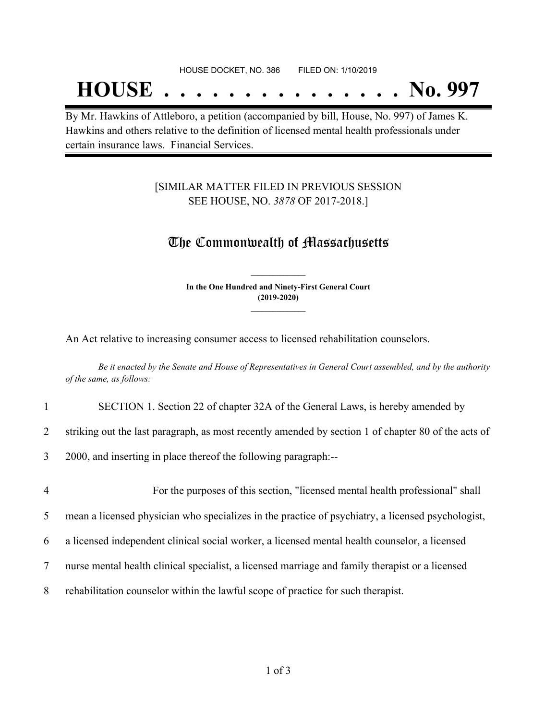## **HOUSE . . . . . . . . . . . . . . . No. 997**

By Mr. Hawkins of Attleboro, a petition (accompanied by bill, House, No. 997) of James K. Hawkins and others relative to the definition of licensed mental health professionals under certain insurance laws. Financial Services.

#### [SIMILAR MATTER FILED IN PREVIOUS SESSION SEE HOUSE, NO. *3878* OF 2017-2018.]

### The Commonwealth of Massachusetts

**In the One Hundred and Ninety-First General Court (2019-2020) \_\_\_\_\_\_\_\_\_\_\_\_\_\_\_**

**\_\_\_\_\_\_\_\_\_\_\_\_\_\_\_**

An Act relative to increasing consumer access to licensed rehabilitation counselors.

Be it enacted by the Senate and House of Representatives in General Court assembled, and by the authority *of the same, as follows:*

#### 1 SECTION 1. Section 22 of chapter 32A of the General Laws, is hereby amended by

2 striking out the last paragraph, as most recently amended by section 1 of chapter 80 of the acts of

3 2000, and inserting in place thereof the following paragraph:--

4 For the purposes of this section, "licensed mental health professional" shall mean a licensed physician who specializes in the practice of psychiatry, a licensed psychologist, a licensed independent clinical social worker, a licensed mental health counselor, a licensed nurse mental health clinical specialist, a licensed marriage and family therapist or a licensed rehabilitation counselor within the lawful scope of practice for such therapist.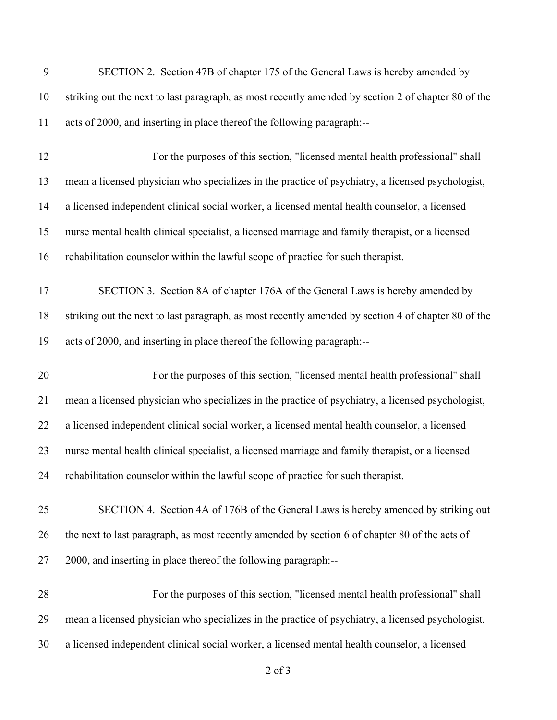| 9  | SECTION 2. Section 47B of chapter 175 of the General Laws is hereby amended by                      |
|----|-----------------------------------------------------------------------------------------------------|
| 10 | striking out the next to last paragraph, as most recently amended by section 2 of chapter 80 of the |
| 11 | acts of 2000, and inserting in place thereof the following paragraph:--                             |
| 12 | For the purposes of this section, "licensed mental health professional" shall                       |
| 13 | mean a licensed physician who specializes in the practice of psychiatry, a licensed psychologist,   |
| 14 | a licensed independent clinical social worker, a licensed mental health counselor, a licensed       |
| 15 | nurse mental health clinical specialist, a licensed marriage and family therapist, or a licensed    |
| 16 | rehabilitation counselor within the lawful scope of practice for such therapist.                    |
| 17 | SECTION 3. Section 8A of chapter 176A of the General Laws is hereby amended by                      |
| 18 | striking out the next to last paragraph, as most recently amended by section 4 of chapter 80 of the |
| 19 | acts of 2000, and inserting in place thereof the following paragraph:--                             |
| 20 | For the purposes of this section, "licensed mental health professional" shall                       |
| 21 | mean a licensed physician who specializes in the practice of psychiatry, a licensed psychologist,   |
| 22 | a licensed independent clinical social worker, a licensed mental health counselor, a licensed       |
| 23 | nurse mental health clinical specialist, a licensed marriage and family therapist, or a licensed    |
|    |                                                                                                     |
| 24 | rehabilitation counselor within the lawful scope of practice for such therapist.                    |
| 25 | SECTION 4. Section 4A of 176B of the General Laws is hereby amended by striking out                 |
| 26 | the next to last paragraph, as most recently amended by section 6 of chapter 80 of the acts of      |
| 27 | 2000, and inserting in place thereof the following paragraph:--                                     |
| 28 | For the purposes of this section, "licensed mental health professional" shall                       |
| 29 | mean a licensed physician who specializes in the practice of psychiatry, a licensed psychologist,   |

of 3